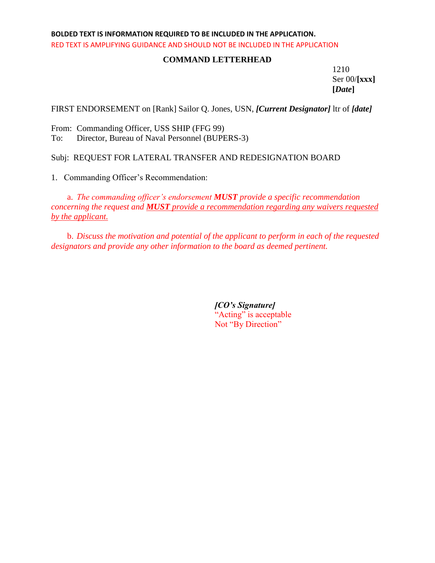## **BOLDED TEXT IS INFORMATION REQUIRED TO BE INCLUDED IN THE APPLICATION.** RED TEXT IS AMPLIFYING GUIDANCE AND SHOULD NOT BE INCLUDED IN THE APPLICATION

## **COMMAND LETTERHEAD**

1210 Ser 00/**[xxx] [***Date***]**

FIRST ENDORSEMENT on [Rank] Sailor Q. Jones, USN, *[Current Designator]* ltr of *[date]*

From: Commanding Officer, USS SHIP (FFG 99) To: Director, Bureau of Naval Personnel (BUPERS-3)

Subj: REQUEST FOR LATERAL TRANSFER AND REDESIGNATION BOARD

1. Commanding Officer's Recommendation:

a. *The commanding officer's endorsement MUST provide a specific recommendation concerning the request and MUST provide a recommendation regarding any waivers requested by the applicant.*

b. *Discuss the motivation and potential of the applicant to perform in each of the requested designators and provide any other information to the board as deemed pertinent.*

> *[CO's Signature]* "Acting" is acceptable Not "By Direction"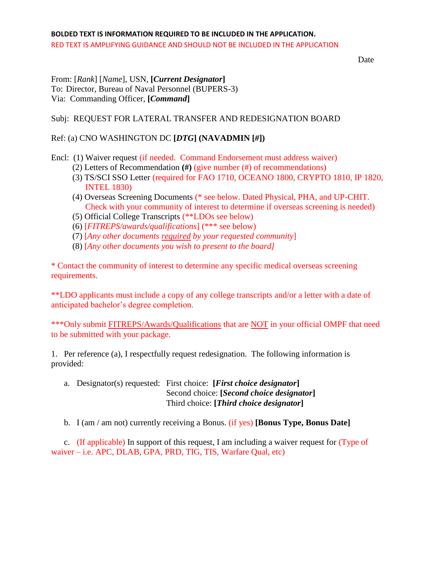Date

From: [*Rank*] [*Name*], USN, **[***Current Designator***]** To: Director, Bureau of Naval Personnel (BUPERS-3) Via: Commanding Officer, **[***Command***]**

Subj: REQUEST FOR LATERAL TRANSFER AND REDESIGNATION BOARD

Ref: (a) CNO WASHINGTON DC **[***DTG***] (NAVADMIN [***#***])**

Encl: (1) Waiver request (if needed. Command Endorsement must address waiver)

- (2) Letters of Recommendation **(#)** (give number (#) of recommendations)
- (3) TS/SCI SSO Letter (required for FAO 1710, OCEANO 1800, CRYPTO 1810, IP 1820, INTEL 1830)
- (4) Overseas Screening Documents (\* see below. Dated Physical, PHA, and UP-CHIT. Check with your community of interest to determine if overseas screening is needed)
- (5) Official College Transcripts (\*\*LDOs see below)
- (6) [*FITREPS/awards/qualifications*] (\*\*\* see below)
- (7) [*Any other documents required by your requested community*]
- (8) [*Any other documents you wish to present to the board]*

\* Contact the community of interest to determine any specific medical overseas screening requirements.

\*\*LDO applicants must include a copy of any college transcripts and/or a letter with a date of anticipated bachelor's degree completion.

\*\*\*Only submit FITREPS/Awards/Qualifications that are NOT in your official OMPF that need to be submitted with your package.

1. Per reference (a), I respectfully request redesignation. The following information is provided:

a. Designator(s) requested: First choice: **[***First choice designator***]** Second choice: **[***Second choice designator***]** Third choice: **[***Third choice designator***]**

b. I (am / am not) currently receiving a Bonus. (if yes) **[Bonus Type, Bonus Date]**

c. (If applicable) In support of this request, I am including a waiver request for (Type of waiver – i.e. APC, DLAB, GPA, PRD, TIG, TIS, Warfare Qual, etc)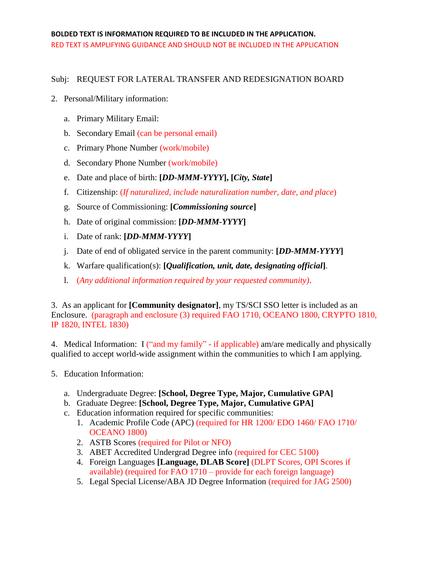## Subj: REQUEST FOR LATERAL TRANSFER AND REDESIGNATION BOARD

- 2. Personal/Military information:
	- a. Primary Military Email:
	- b. Secondary Email (can be personal email)
	- c. Primary Phone Number (work/mobile)
	- d. Secondary Phone Number (work/mobile)
	- e. Date and place of birth: **[***DD-MMM-YYYY***], [***City, State***]**
	- f. Citizenship: (*If naturalized, include naturalization number, date, and place*)
	- g. Source of Commissioning: **[***Commissioning source***]**
	- h. Date of original commission: **[***DD-MMM-YYYY***]**
	- i. Date of rank: **[***DD-MMM-YYYY***]**
	- j. Date of end of obligated service in the parent community: **[***DD-MMM-YYYY***]**
	- k. Warfare qualification(s): **[***Qualification, unit, date, designating official***]**.
	- l. (*Any additional information required by your requested community)*.

3. As an applicant for **[Community designator]**, my TS/SCI SSO letter is included as an Enclosure. (paragraph and enclosure (3) required FAO 1710, OCEANO 1800, CRYPTO 1810, IP 1820, INTEL 1830)

4. Medical Information: I ("and my family" - if applicable) am/are medically and physically qualified to accept world-wide assignment within the communities to which I am applying.

- 5. Education Information:
	- a. Undergraduate Degree: **[School, Degree Type, Major, Cumulative GPA]**
	- b. Graduate Degree: **[School, Degree Type, Major, Cumulative GPA]**
	- c. Education information required for specific communities:
		- 1. Academic Profile Code (APC) (required for HR 1200/ EDO 1460/ FAO 1710/ OCEANO 1800)
		- 2. ASTB Scores (required for Pilot or NFO)
		- 3. ABET Accredited Undergrad Degree info (required for CEC 5100)
		- 4. Foreign Languages **[Language, DLAB Score]** (DLPT Scores, OPI Scores if available) (required for FAO 1710 – provide for each foreign language)
		- 5. Legal Special License/ABA JD Degree Information (required for JAG 2500)